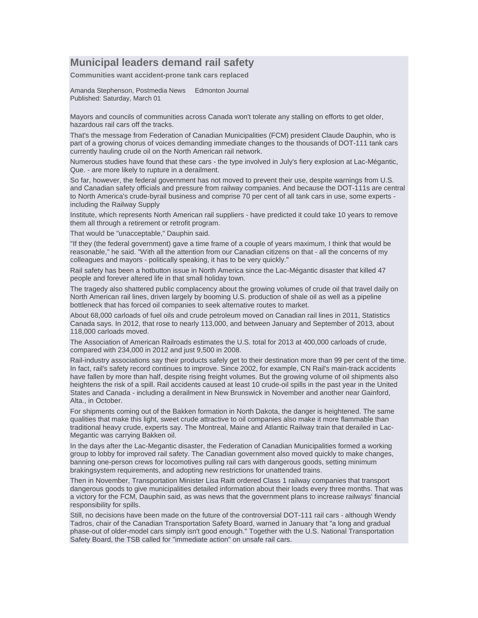## **Municipal leaders demand rail safety**

**Communities want accident-prone tank cars replaced** 

Amanda Stephenson, Postmedia News Edmonton Journal Published: Saturday, March 01

Mayors and councils of communities across Canada won't tolerate any stalling on efforts to get older, hazardous rail cars off the tracks.

That's the message from Federation of Canadian Municipalities (FCM) president Claude Dauphin, who is part of a growing chorus of voices demanding immediate changes to the thousands of DOT-111 tank cars currently hauling crude oil on the North American rail network.

Numerous studies have found that these cars - the type involved in July's fiery explosion at Lac-Mégantic, Que. - are more likely to rupture in a derailment.

So far, however, the federal government has not moved to prevent their use, despite warnings from U.S. and Canadian safety officials and pressure from railway companies. And because the DOT-111s are central to North America's crude-byrail business and comprise 70 per cent of all tank cars in use, some experts including the Railway Supply

Institute, which represents North American rail suppliers - have predicted it could take 10 years to remove them all through a retirement or retrofit program.

That would be "unacceptable," Dauphin said.

"If they (the federal government) gave a time frame of a couple of years maximum, I think that would be reasonable," he said. "With all the attention from our Canadian citizens on that - all the concerns of my colleagues and mayors - politically speaking, it has to be very quickly."

Rail safety has been a hotbutton issue in North America since the Lac-Mégantic disaster that killed 47 people and forever altered life in that small holiday town.

The tragedy also shattered public complacency about the growing volumes of crude oil that travel daily on North American rail lines, driven largely by booming U.S. production of shale oil as well as a pipeline bottleneck that has forced oil companies to seek alternative routes to market.

About 68,000 carloads of fuel oils and crude petroleum moved on Canadian rail lines in 2011, Statistics Canada says. In 2012, that rose to nearly 113,000, and between January and September of 2013, about 118,000 carloads moved.

The Association of American Railroads estimates the U.S. total for 2013 at 400,000 carloads of crude, compared with 234,000 in 2012 and just 9,500 in 2008.

Rail-industry associations say their products safely get to their destination more than 99 per cent of the time. In fact, rail's safety record continues to improve. Since 2002, for example, CN Rail's main-track accidents have fallen by more than half, despite rising freight volumes. But the growing volume of oil shipments also heightens the risk of a spill. Rail accidents caused at least 10 crude-oil spills in the past year in the United States and Canada - including a derailment in New Brunswick in November and another near Gainford, Alta., in October.

For shipments coming out of the Bakken formation in North Dakota, the danger is heightened. The same qualities that make this light, sweet crude attractive to oil companies also make it more flammable than traditional heavy crude, experts say. The Montreal, Maine and Atlantic Railway train that derailed in Lac-Megantic was carrying Bakken oil.

In the days after the Lac-Megantic disaster, the Federation of Canadian Municipalities formed a working group to lobby for improved rail safety. The Canadian government also moved quickly to make changes, banning one-person crews for locomotives pulling rail cars with dangerous goods, setting minimum brakingsystem requirements, and adopting new restrictions for unattended trains.

Then in November, Transportation Minister Lisa Raitt ordered Class 1 railway companies that transport dangerous goods to give municipalities detailed information about their loads every three months. That was a victory for the FCM, Dauphin said, as was news that the government plans to increase railways' financial responsibility for spills.

Still, no decisions have been made on the future of the controversial DOT-111 rail cars - although Wendy Tadros, chair of the Canadian Transportation Safety Board, warned in January that "a long and gradual phase-out of older-model cars simply isn't good enough." Together with the U.S. National Transportation Safety Board, the TSB called for "immediate action" on unsafe rail cars.